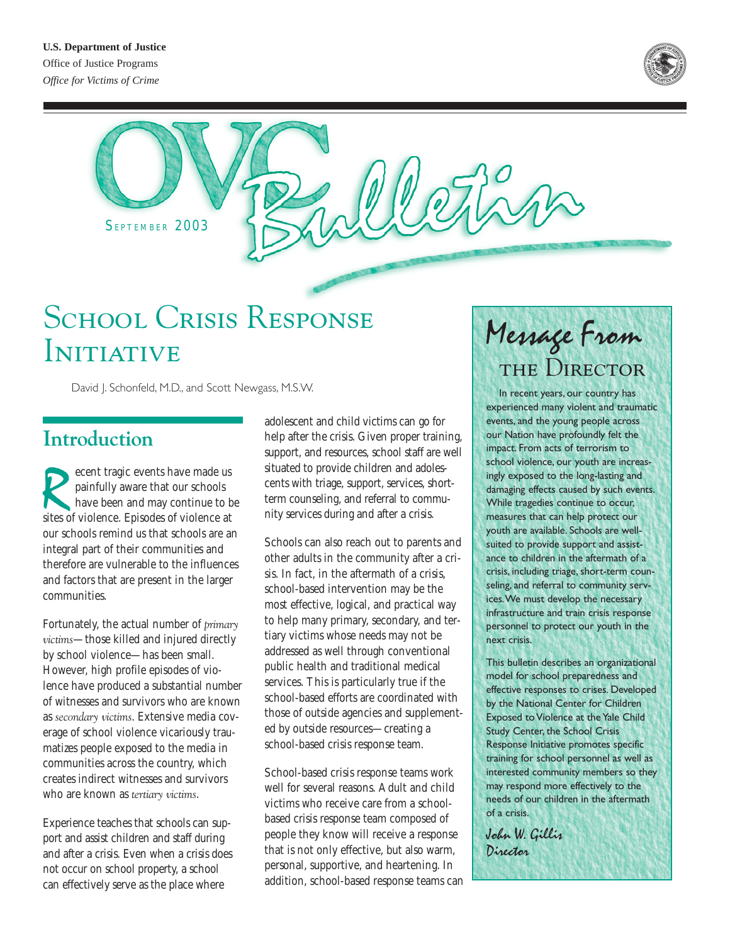

SEPTEMBER 2003

# SCHOOL CRISIS RESPONSE Initiative

David J. Schonfeld, M.D., and Scott Newgass, M.S.W.

**Introduction**

France events have made us<br>painfully aware that our schools<br>have been and may continue to b<br>sites of violence. Episodes of violence at painfully aware that our schools have been and may continue to be sites of violence. Episodes of violence at our schools remind us that schools are an integral part of their communities and therefore are vulnerable to the influences and factors that are present in the larger communities.

Fortunately, the actual number of *primary victims*—those killed and injured directly by school violence—has been small. However, high profile episodes of violence have produced a substantial number of witnesses and survivors who are known as *secondary victims*. Extensive media coverage of school violence vicariously traumatizes people exposed to the media in communities across the country, which creates indirect witnesses and survivors who are known as *tertiary victims*.

Experience teaches that schools can support and assist children and staff during and after a crisis. Even when a crisis does not occur on school property, a school can effectively serve as the place where

adolescent and child victims can go for help after the crisis. Given proper training, support, and resources, school staff are well situated to provide children and adolescents with triage, support, services, shortterm counseling, and referral to community services during and after a crisis.

Schools can also reach out to parents and other adults in the community after a crisis. In fact, in the aftermath of a crisis, school-based intervention may be the most effective, logical, and practical way to help many primary, secondary, and tertiary victims whose needs may not be addressed as well through conventional public health and traditional medical services. This is particularly true if the school-based efforts are coordinated with those of outside agencies and supplemented by outside resources—creating a school-based crisis response team.

School-based crisis response teams work well for several reasons. Adult and child victims who receive care from a schoolbased crisis response team composed of people they know will receive a response that is not only effective, but also warm, personal, supportive, and heartening. In addition, school-based response teams can

# Message From THE DIRECTOR

In recent years, our country has experienced many violent and traumatic events, and the young people across our Nation have profoundly felt the impact. From acts of terrorism to school violence, our youth are increasingly exposed to the long-lasting and damaging effects caused by such events. While tragedies continue to occur, measures that can help protect our youth are available. Schools are wellsuited to provide support and assistance to children in the aftermath of a crisis, including triage, short-term counseling, and referral to community services.We must develop the necessary infrastructure and train crisis response personnel to protect our youth in the next crisis.

This bulletin describes an organizational model for school preparedness and effective responses to crises. Developed by the National Center for Children Exposed to Violence at the Yale Child Study Center, the School Crisis Response Initiative promotes specific training for school personnel as well as interested community members so they may respond more effectively to the needs of our children in the aftermath of a crisis.

John W. Gillis Director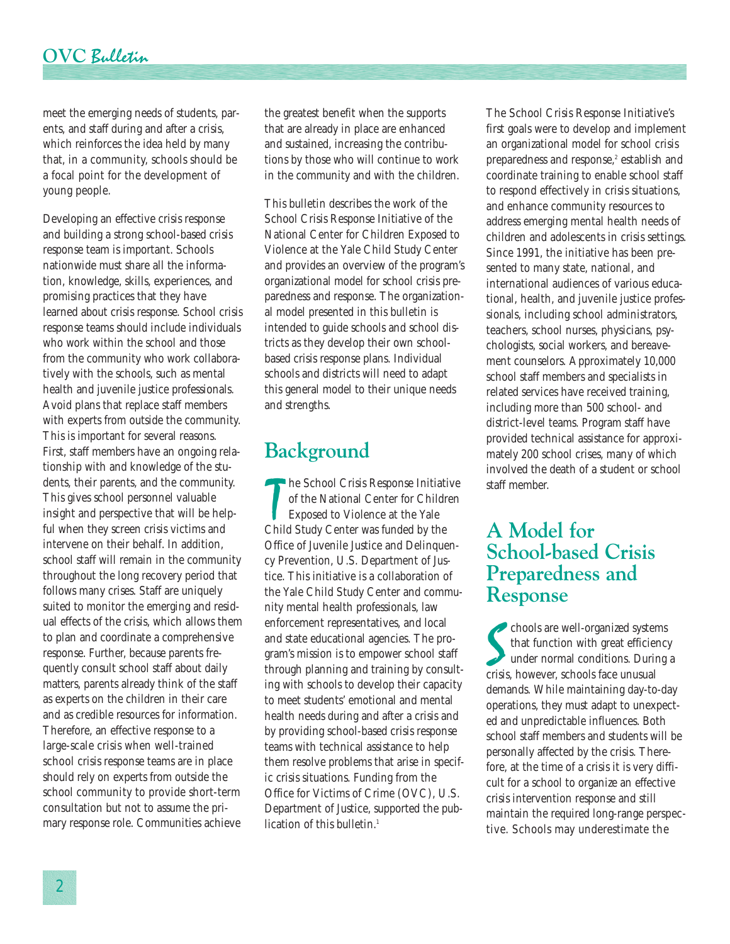meet the emerging needs of students, parents, and staff during and after a crisis, which reinforces the idea held by many that, in a community, schools should be a focal point for the development of young people.

Developing an effective crisis response and building a strong school-based crisis response team is important. Schools nationwide must share all the information, knowledge, skills, experiences, and promising practices that they have learned about crisis response. School crisis response teams should include individuals who work within the school and those from the community who work collaboratively with the schools, such as mental health and juvenile justice professionals. Avoid plans that replace staff members with experts from outside the community. This is important for several reasons. First, staff members have an ongoing relationship with and knowledge of the students, their parents, and the community. This gives school personnel valuable insight and perspective that will be helpful when they screen crisis victims and intervene on their behalf. In addition, school staff will remain in the community throughout the long recovery period that follows many crises. Staff are uniquely suited to monitor the emerging and residual effects of the crisis, which allows them to plan and coordinate a comprehensive response. Further, because parents frequently consult school staff about daily matters, parents already think of the staff as experts on the children in their care and as credible resources for information. Therefore, an effective response to a large-scale crisis when well-trained school crisis response teams are in place should rely on experts from outside the school community to provide short-term consultation but not to assume the primary response role. Communities achieve the greatest benefit when the supports that are already in place are enhanced and sustained, increasing the contributions by those who will continue to work in the community and with the children.

This bulletin describes the work of the School Crisis Response Initiative of the National Center for Children Exposed to Violence at the Yale Child Study Center and provides an overview of the program's organizational model for school crisis preparedness and response. The organizational model presented in this bulletin is intended to guide schools and school districts as they develop their own schoolbased crisis response plans. Individual schools and districts will need to adapt this general model to their unique needs and strengths.

## **Background**

The School Crisis Response Initiat<br>
of the National Center for Childi<br>
Exposed to Violence at the Yale<br>
Child Study Center was funded by the he School Crisis Response Initiative of the National Center for Children Exposed to Violence at the Yale Office of Juvenile Justice and Delinquency Prevention, U.S. Department of Justice. This initiative is a collaboration of the Yale Child Study Center and community mental health professionals, law enforcement representatives, and local and state educational agencies. The program's mission is to empower school staff through planning and training by consulting with schools to develop their capacity to meet students' emotional and mental health needs during and after a crisis and by providing school-based crisis response teams with technical assistance to help them resolve problems that arise in specific crisis situations. Funding from the Office for Victims of Crime (OVC), U.S. Department of Justice, supported the publication of this bulletin.<sup>1</sup>

The School Crisis Response Initiative's first goals were to develop and implement an organizational model for school crisis preparedness and response,<sup>2</sup> establish and coordinate training to enable school staff to respond effectively in crisis situations, and enhance community resources to address emerging mental health needs of children and adolescents in crisis settings. Since 1991, the initiative has been presented to many state, national, and international audiences of various educational, health, and juvenile justice professionals, including school administrators, teachers, school nurses, physicians, psychologists, social workers, and bereavement counselors. Approximately 10,000 school staff members and specialists in related services have received training, including more than 500 school- and district-level teams. Program staff have provided technical assistance for approximately 200 school crises, many of which involved the death of a student or school staff member.

## **A Model for School-based Crisis Preparedness and Response**

chools are well-organized system<br>that function with great efficies<br>under normal conditions. Durin<br>crisis, however, schools face unusual chools are well-organized systems that function with great efficiency under normal conditions. During a demands. While maintaining day-to-day operations, they must adapt to unexpected and unpredictable influences. Both school staff members and students will be personally affected by the crisis. Therefore, at the time of a crisis it is very difficult for a school to organize an effective crisis intervention response and still maintain the required long-range perspective. Schools may underestimate the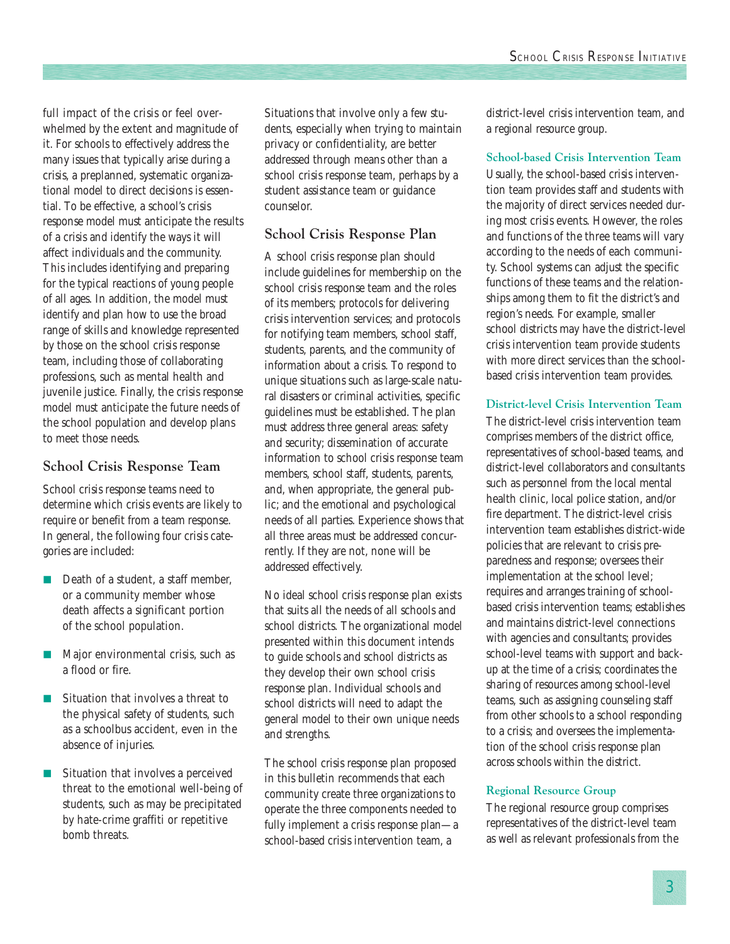full impact of the crisis or feel overwhelmed by the extent and magnitude of it. For schools to effectively address the many issues that typically arise during a crisis, a preplanned, systematic organizational model to direct decisions is essential. To be effective, a school's crisis response model must anticipate the results of a crisis and identify the ways it will affect individuals and the community. This includes identifying and preparing for the typical reactions of young people of all ages. In addition, the model must identify and plan how to use the broad range of skills and knowledge represented by those on the school crisis response team, including those of collaborating professions, such as mental health and juvenile justice. Finally, the crisis response model must anticipate the future needs of the school population and develop plans to meet those needs.

### **School Crisis Response Team**

School crisis response teams need to determine which crisis events are likely to require or benefit from a team response. In general, the following four crisis categories are included:

- Death of a student, a staff member, or a community member whose death affects a significant portion of the school population.
- Major environmental crisis, such as a flood or fire.
- Situation that involves a threat to the physical safety of students, such as a schoolbus accident, even in the absence of injuries.
- Situation that involves a perceived threat to the emotional well-being of students, such as may be precipitated by hate-crime graffiti or repetitive bomb threats.

Situations that involve only a few students, especially when trying to maintain privacy or confidentiality, are better addressed through means other than a school crisis response team, perhaps by a student assistance team or guidance counselor.

### **School Crisis Response Plan**

A school crisis response plan should include guidelines for membership on the school crisis response team and the roles of its members; protocols for delivering crisis intervention services; and protocols for notifying team members, school staff, students, parents, and the community of information about a crisis. To respond to unique situations such as large-scale natural disasters or criminal activities, specific guidelines must be established. The plan must address three general areas: safety and security; dissemination of accurate information to school crisis response team members, school staff, students, parents, and, when appropriate, the general public; and the emotional and psychological needs of all parties. Experience shows that all three areas must be addressed concurrently. If they are not, none will be addressed effectively.

No ideal school crisis response plan exists that suits all the needs of all schools and school districts. The organizational model presented within this document intends to guide schools and school districts as they develop their own school crisis response plan. Individual schools and school districts will need to adapt the general model to their own unique needs and strengths.

The school crisis response plan proposed in this bulletin recommends that each community create three organizations to operate the three components needed to fully implement a crisis response plan—a school-based crisis intervention team, a

district-level crisis intervention team, and a regional resource group.

#### **School-based Crisis Intervention Team**

Usually, the school-based crisis intervention team provides staff and students with the majority of direct services needed during most crisis events. However, the roles and functions of the three teams will vary according to the needs of each community. School systems can adjust the specific functions of these teams and the relationships among them to fit the district's and region's needs. For example, smaller school districts may have the district-level crisis intervention team provide students with more direct services than the schoolbased crisis intervention team provides.

### **District-level Crisis Intervention Team**

The district-level crisis intervention team comprises members of the district office, representatives of school-based teams, and district-level collaborators and consultants such as personnel from the local mental health clinic, local police station, and/or fire department. The district-level crisis intervention team establishes district-wide policies that are relevant to crisis preparedness and response; oversees their implementation at the school level; requires and arranges training of schoolbased crisis intervention teams; establishes and maintains district-level connections with agencies and consultants; provides school-level teams with support and backup at the time of a crisis; coordinates the sharing of resources among school-level teams, such as assigning counseling staff from other schools to a school responding to a crisis; and oversees the implementation of the school crisis response plan across schools within the district.

#### **Regional Resource Group**

The regional resource group comprises representatives of the district-level team as well as relevant professionals from the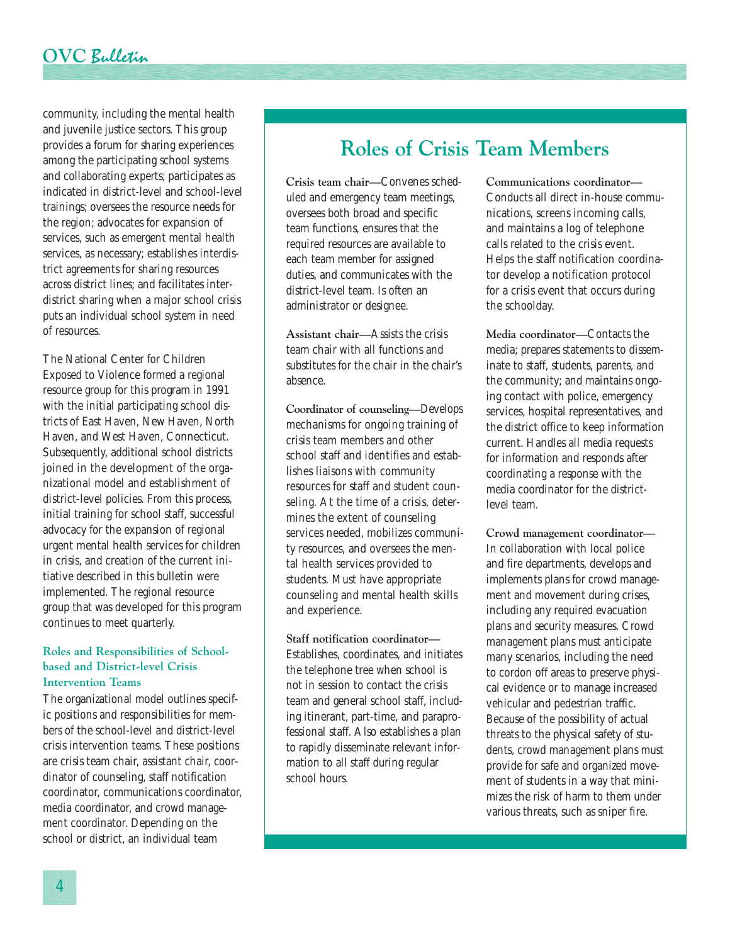### **OVC** Bulletin

community, including the mental health and juvenile justice sectors. This group provides a forum for sharing experiences among the participating school systems and collaborating experts; participates as indicated in district-level and school-level trainings; oversees the resource needs for the region; advocates for expansion of services, such as emergent mental health services, as necessary; establishes interdistrict agreements for sharing resources across district lines; and facilitates interdistrict sharing when a major school crisis puts an individual school system in need of resources.

The National Center for Children Exposed to Violence formed a regional resource group for this program in 1991 with the initial participating school districts of East Haven, New Haven, North Haven, and West Haven, Connecticut. Subsequently, additional school districts joined in the development of the organizational model and establishment of district-level policies. From this process, initial training for school staff, successful advocacy for the expansion of regional urgent mental health services for children in crisis, and creation of the current initiative described in this bulletin were implemented. The regional resource group that was developed for this program continues to meet quarterly.

#### **Roles and Responsibilities of Schoolbased and District-level Crisis Intervention Teams**

The organizational model outlines specific positions and responsibilities for members of the school-level and district-level crisis intervention teams. These positions are crisis team chair, assistant chair, coordinator of counseling, staff notification coordinator, communications coordinator, media coordinator, and crowd management coordinator. Depending on the school or district, an individual team

# **Roles of Crisis Team Members**

**Crisis team chair—**Convenes scheduled and emergency team meetings, oversees both broad and specific team functions, ensures that the required resources are available to each team member for assigned duties, and communicates with the district-level team. Is often an administrator or designee.

**Assistant chair—**Assists the crisis team chair with all functions and substitutes for the chair in the chair's absence.

**Coordinator of counseling—**Develops mechanisms for ongoing training of crisis team members and other school staff and identifies and establishes liaisons with community resources for staff and student counseling. At the time of a crisis, determines the extent of counseling services needed, mobilizes community resources, and oversees the mental health services provided to students. Must have appropriate counseling and mental health skills and experience.

**Staff notification coordinator—** Establishes, coordinates, and initiates the telephone tree when school is not in session to contact the crisis team and general school staff, including itinerant, part-time, and paraprofessional staff. Also establishes a plan to rapidly disseminate relevant information to all staff during regular school hours.

**Communications coordinator—** Conducts all direct in-house communications, screens incoming calls, and maintains a log of telephone calls related to the crisis event. Helps the staff notification coordinator develop a notification protocol for a crisis event that occurs during the schoolday.

**Media coordinator—**Contacts the media; prepares statements to disseminate to staff, students, parents, and the community; and maintains ongoing contact with police, emergency services, hospital representatives, and the district office to keep information current. Handles all media requests for information and responds after coordinating a response with the media coordinator for the districtlevel team.

**Crowd management coordinator—** In collaboration with local police and fire departments, develops and implements plans for crowd management and movement during crises, including any required evacuation plans and security measures. Crowd management plans must anticipate many scenarios, including the need to cordon off areas to preserve physical evidence or to manage increased vehicular and pedestrian traffic. Because of the possibility of actual threats to the physical safety of students, crowd management plans must provide for safe and organized movement of students in a way that minimizes the risk of harm to them under various threats, such as sniper fire.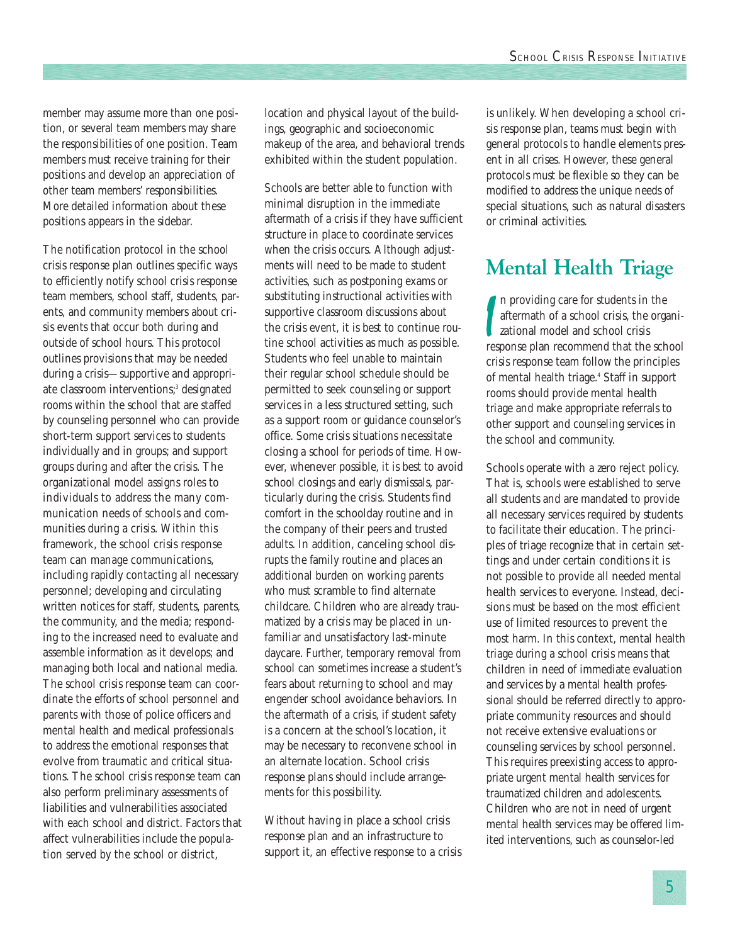member may assume more than one position, or several team members may share the responsibilities of one position. Team members must receive training for their positions and develop an appreciation of other team members' responsibilities. More detailed information about these positions appears in the sidebar.

The notification protocol in the school crisis response plan outlines specific ways to efficiently notify school crisis response team members, school staff, students, parents, and community members about crisis events that occur both during and outside of school hours. This protocol outlines provisions that may be needed during a crisis—supportive and appropriate classroom interventions;<sup>3</sup> designated rooms within the school that are staffed by counseling personnel who can provide short-term support services to students individually and in groups; and support groups during and after the crisis. The organizational model assigns roles to individuals to address the many communication needs of schools and communities during a crisis. Within this framework, the school crisis response team can manage communications, including rapidly contacting all necessary personnel; developing and circulating written notices for staff, students, parents, the community, and the media; responding to the increased need to evaluate and assemble information as it develops; and managing both local and national media. The school crisis response team can coordinate the efforts of school personnel and parents with those of police officers and mental health and medical professionals to address the emotional responses that evolve from traumatic and critical situations. The school crisis response team can also perform preliminary assessments of liabilities and vulnerabilities associated with each school and district. Factors that affect vulnerabilities include the population served by the school or district,

location and physical layout of the buildings, geographic and socioeconomic makeup of the area, and behavioral trends exhibited within the student population.

Schools are better able to function with minimal disruption in the immediate aftermath of a crisis if they have sufficient structure in place to coordinate services when the crisis occurs. Although adjustments will need to be made to student activities, such as postponing exams or substituting instructional activities with supportive classroom discussions about the crisis event, it is best to continue routine school activities as much as possible. Students who feel unable to maintain their regular school schedule should be permitted to seek counseling or support services in a less structured setting, such as a support room or guidance counselor's office. Some crisis situations necessitate closing a school for periods of time. However, whenever possible, it is best to avoid school closings and early dismissals, particularly during the crisis. Students find comfort in the schoolday routine and in the company of their peers and trusted adults. In addition, canceling school disrupts the family routine and places an additional burden on working parents who must scramble to find alternate childcare. Children who are already traumatized by a crisis may be placed in unfamiliar and unsatisfactory last-minute daycare. Further, temporary removal from school can sometimes increase a student's fears about returning to school and may engender school avoidance behaviors. In the aftermath of a crisis, if student safety is a concern at the school's location, it may be necessary to reconvene school in an alternate location. School crisis response plans should include arrangements for this possibility.

Without having in place a school crisis response plan and an infrastructure to support it, an effective response to a crisis is unlikely. When developing a school crisis response plan, teams must begin with general protocols to handle elements present in all crises. However, these general protocols must be flexible so they can be modified to address the unique needs of special situations, such as natural disasters or criminal activities.

# **Mental Health Triage**

In providing care for students in the<br>aftermath of a school crisis, the organizational model and school crisis<br>response plan recommend that the school n providing care for students in the aftermath of a school crisis, the organizational model and school crisis crisis response team follow the principles of mental health triage.<sup>4</sup> Staff in support rooms should provide mental health triage and make appropriate referrals to other support and counseling services in the school and community.

Schools operate with a zero reject policy. That is, schools were established to serve all students and are mandated to provide all necessary services required by students to facilitate their education. The principles of triage recognize that in certain settings and under certain conditions it is not possible to provide all needed mental health services to everyone. Instead, decisions must be based on the most efficient use of limited resources to prevent the most harm. In this context, mental health triage during a school crisis means that children in need of immediate evaluation and services by a mental health professional should be referred directly to appropriate community resources and should not receive extensive evaluations or counseling services by school personnel. This requires preexisting access to appropriate urgent mental health services for traumatized children and adolescents. Children who are not in need of urgent mental health services may be offered limited interventions, such as counselor-led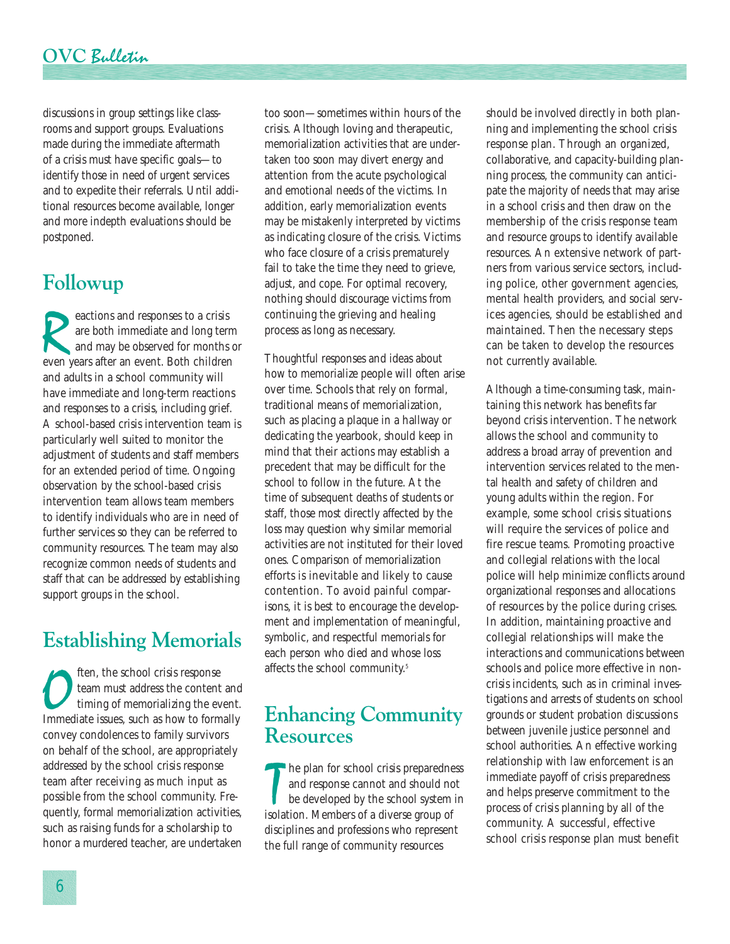### **OVC** Bulletin

discussions in group settings like classrooms and support groups. Evaluations made during the immediate aftermath of a crisis must have specific goals—to identify those in need of urgent services and to expedite their referrals. Until additional resources become available, longer and more indepth evaluations should be postponed.

# **Followup**

exactions and responses to a crisis<br>are both immediate and long ter<br>and may be observed for months<br>even years after an event. Both children are both immediate and long term and may be observed for months or even years after an event. Both children and adults in a school community will have immediate and long-term reactions and responses to a crisis, including grief. A school-based crisis intervention team is particularly well suited to monitor the adjustment of students and staff members for an extended period of time. Ongoing observation by the school-based crisis intervention team allows team members to identify individuals who are in need of further services so they can be referred to community resources. The team may also recognize common needs of students and staff that can be addressed by establishing support groups in the school.

# **Establishing Memorials**

**OFFERN** the school crisis response<br>team must address the content and<br>timing of memorializing the event.<br>Immediate issues, such as how to formally team must address the content and timing of memorializing the event. convey condolences to family survivors on behalf of the school, are appropriately addressed by the school crisis response team after receiving as much input as possible from the school community. Frequently, formal memorialization activities, such as raising funds for a scholarship to honor a murdered teacher, are undertaken too soon—sometimes within hours of the crisis. Although loving and therapeutic, memorialization activities that are undertaken too soon may divert energy and attention from the acute psychological and emotional needs of the victims. In addition, early memorialization events may be mistakenly interpreted by victims as indicating closure of the crisis. Victims who face closure of a crisis prematurely fail to take the time they need to grieve, adjust, and cope. For optimal recovery, nothing should discourage victims from continuing the grieving and healing process as long as necessary.

Thoughtful responses and ideas about how to memorialize people will often arise over time. Schools that rely on formal, traditional means of memorialization, such as placing a plaque in a hallway or dedicating the yearbook, should keep in mind that their actions may establish a precedent that may be difficult for the school to follow in the future. At the time of subsequent deaths of students or staff, those most directly affected by the loss may question why similar memorial activities are not instituted for their loved ones. Comparison of memorialization efforts is inevitable and likely to cause contention. To avoid painful comparisons, it is best to encourage the development and implementation of meaningful, symbolic, and respectful memorials for each person who died and whose loss affects the school community.<sup>5</sup>

### **Enhancing Community Resources**

The plan for school crisis preparedness and response cannot and should no<br>be developed by the school system<br>isolation. Members of a diverse group of **here** plan for school crisis preparedness and response cannot and should not be developed by the school system in disciplines and professions who represent the full range of community resources

should be involved directly in both planning and implementing the school crisis response plan. Through an organized, collaborative, and capacity-building planning process, the community can anticipate the majority of needs that may arise in a school crisis and then draw on the membership of the crisis response team and resource groups to identify available resources. An extensive network of partners from various service sectors, including police, other government agencies, mental health providers, and social services agencies, should be established and maintained. Then the necessary steps can be taken to develop the resources not currently available.

Although a time-consuming task, maintaining this network has benefits far beyond crisis intervention. The network allows the school and community to address a broad array of prevention and intervention services related to the mental health and safety of children and young adults within the region. For example, some school crisis situations will require the services of police and fire rescue teams. Promoting proactive and collegial relations with the local police will help minimize conflicts around organizational responses and allocations of resources by the police during crises. In addition, maintaining proactive and collegial relationships will make the interactions and communications between schools and police more effective in noncrisis incidents, such as in criminal investigations and arrests of students on school grounds or student probation discussions between juvenile justice personnel and school authorities. An effective working relationship with law enforcement is an immediate payoff of crisis preparedness and helps preserve commitment to the process of crisis planning by all of the community. A successful, effective school crisis response plan must benefit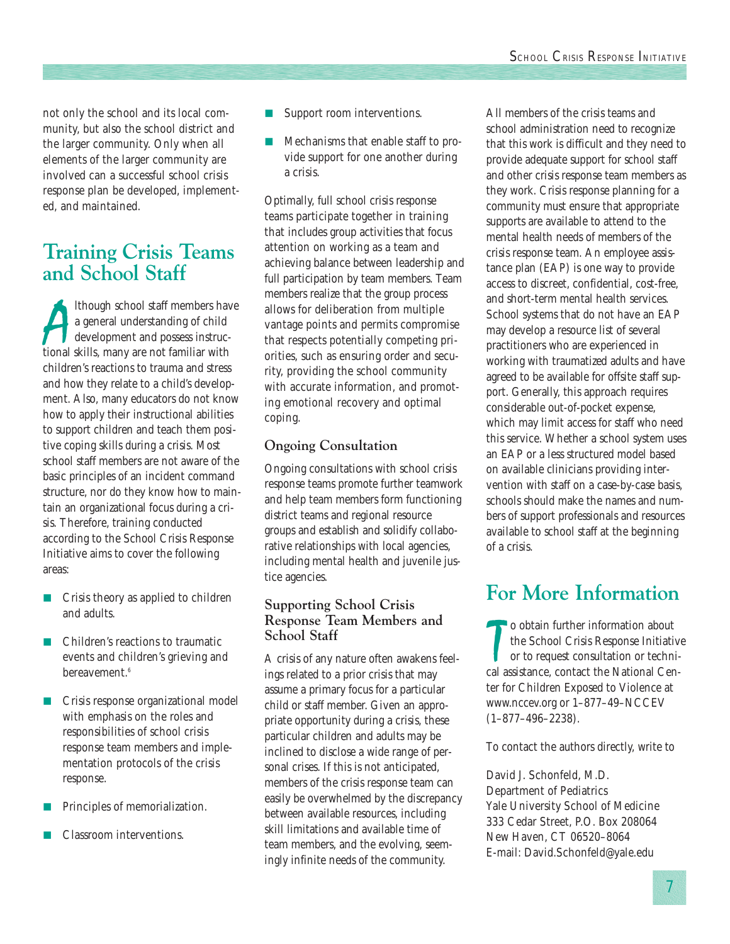not only the school and its local community, but also the school district and the larger community. Only when all elements of the larger community are involved can a successful school crisis response plan be developed, implemented, and maintained.

## **Training Crisis Teams and School Staff**

Ithough school staff members have a general understanding of child<br>development and possess instruc-<br>tional skills, many are not familiar with lthough school staff members have a general understanding of child development and possess instrucchildren's reactions to trauma and stress and how they relate to a child's development. Also, many educators do not know how to apply their instructional abilities to support children and teach them positive coping skills during a crisis. Most school staff members are not aware of the basic principles of an incident command structure, nor do they know how to maintain an organizational focus during a crisis. Therefore, training conducted according to the School Crisis Response Initiative aims to cover the following areas:

- Crisis theory as applied to children and adults.
- Children's reactions to traumatic events and children's grieving and bereavement.<sup>6</sup>
- Crisis response organizational model with emphasis on the roles and responsibilities of school crisis response team members and implementation protocols of the crisis response.
- Principles of memorialization.
- Classroom interventions.
- Support room interventions.
- Mechanisms that enable staff to provide support for one another during a crisis.

Optimally, full school crisis response teams participate together in training that includes group activities that focus attention on working as a team and achieving balance between leadership and full participation by team members. Team members realize that the group process allows for deliberation from multiple vantage points and permits compromise that respects potentially competing priorities, such as ensuring order and security, providing the school community with accurate information, and promoting emotional recovery and optimal coping.

### **Ongoing Consultation**

Ongoing consultations with school crisis response teams promote further teamwork and help team members form functioning district teams and regional resource groups and establish and solidify collaborative relationships with local agencies, including mental health and juvenile justice agencies.

### **Supporting School Crisis Response Team Members and School Staff**

A crisis of any nature often awakens feelings related to a prior crisis that may assume a primary focus for a particular child or staff member. Given an appropriate opportunity during a crisis, these particular children and adults may be inclined to disclose a wide range of personal crises. If this is not anticipated, members of the crisis response team can easily be overwhelmed by the discrepancy between available resources, including skill limitations and available time of team members, and the evolving, seemingly infinite needs of the community.

All members of the crisis teams and school administration need to recognize that this work is difficult and they need to provide adequate support for school staff and other crisis response team members as they work. Crisis response planning for a community must ensure that appropriate supports are available to attend to the mental health needs of members of the crisis response team. An employee assistance plan (EAP) is one way to provide access to discreet, confidential, cost-free, and short-term mental health services. School systems that do not have an EAP may develop a resource list of several practitioners who are experienced in working with traumatized adults and have agreed to be available for offsite staff support. Generally, this approach requires considerable out-of-pocket expense, which may limit access for staff who need this service. Whether a school system uses an EAP or a less structured model based on available clinicians providing intervention with staff on a case-by-case basis, schools should make the names and numbers of support professionals and resources available to school staff at the beginning of a crisis.

## **For More Information**

The School Crisis Response Initiative the School Crisis Response Initiative or to request consultation or technical assistance, contact the National Ceno obtain further information about the School Crisis Response Initiative or to request consultation or techniter for Children Exposed to Violence at www.nccev.org or 1–877–49–NCCEV (1–877–496–2238).

To contact the authors directly, write to

David J. Schonfeld, M.D. Department of Pediatrics Yale University School of Medicine 333 Cedar Street, P.O. Box 208064 New Haven, CT 06520–8064 E-mail: David.Schonfeld@yale.edu